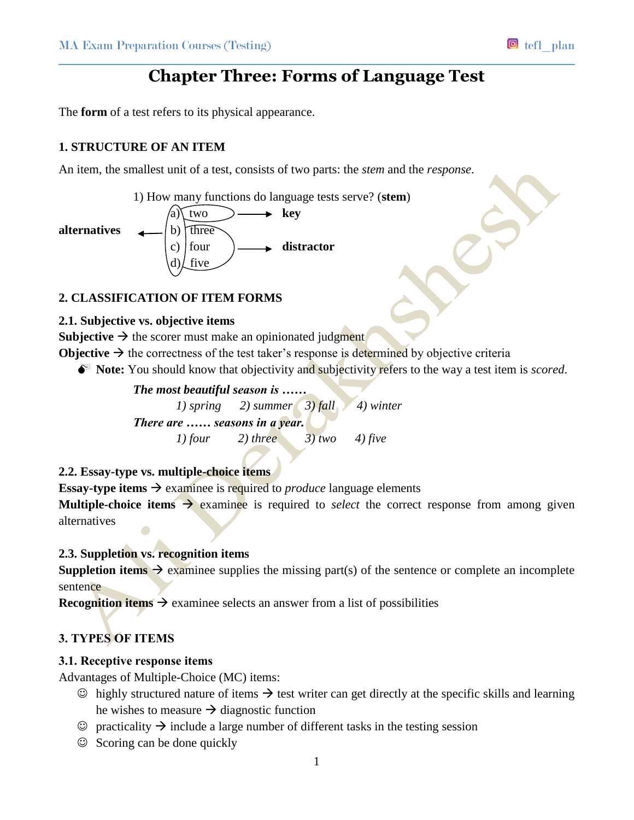# **Chapter Three: Forms of Language Test**

The **form** of a test refers to its physical appearance.

### **1. STRUCTURE OF AN ITEM**

An item, the smallest unit of a test, consists of two parts: the *stem* and the *response*.

1) How many functions do language tests serve? (**stem**)



### **2. CLASSIFICATION OF ITEM FORMS**

### **2.1. Subjective vs. objective items**

**Subjective**  $\rightarrow$  the scorer must make an opinionated judgment

**Objective**  $\rightarrow$  the correctness of the test taker's response is determined by objective criteria

**Note:** You should know that objectivity and subjectivity refers to the way a test item is *scored*.

*The most beautiful season is ……*

*1) spring 2) summer 3) fall 4) winter There are …… seasons in a year. 1) four 2) three 3) two 4) five*

### **2.2. Essay-type vs. multiple-choice items**

**Essay-type items**  $\rightarrow$  examinee is required to *produce* language elements

**Multiple-choice items**  $\rightarrow$  **examinee** is required to *select* the correct response from among given alternatives

### **2.3. Suppletion vs. recognition items**

**Suppletion items**  $\rightarrow$  **examinee supplies the missing part(s) of the sentence or complete an incomplete** sentence

**Recognition items**  $\rightarrow$  examinee selects an answer from a list of possibilities

### **3. TYPES OF ITEMS**

#### **3.1. Receptive response items**

Advantages of Multiple-Choice (MC) items:

- $\odot$  highly structured nature of items  $\rightarrow$  test writer can get directly at the specific skills and learning he wishes to measure  $\rightarrow$  diagnostic function
- $\odot$  practicality  $\rightarrow$  include a large number of different tasks in the testing session
- $\odot$  Scoring can be done quickly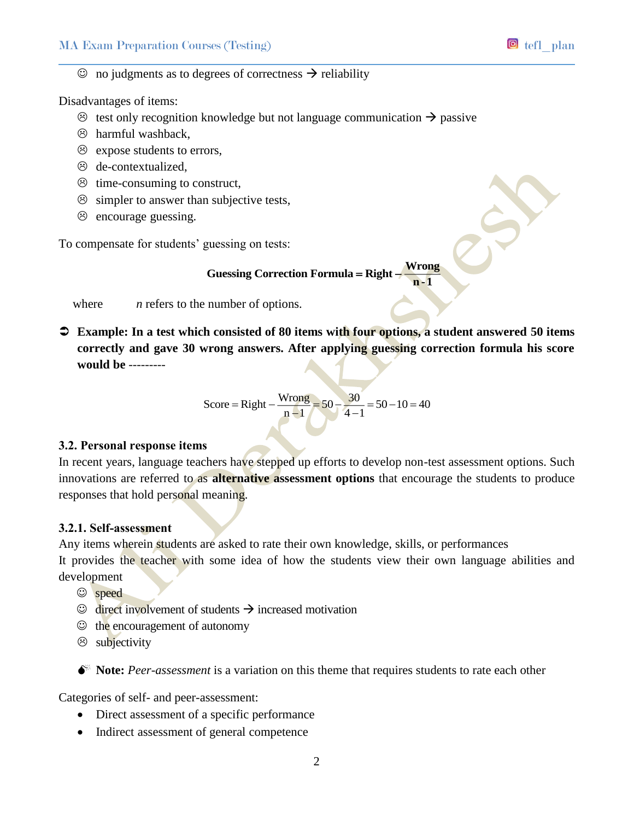### $\odot$  no judgments as to degrees of correctness  $\rightarrow$  reliability

Disadvantages of items:

- $\circled{e}$  test only recognition knowledge but not language communication  $\rightarrow$  passive
- $\circledcirc$  harmful washback,
- $\odot$  expose students to errors,
- $\odot$  de-contextualized.
- $\odot$  time-consuming to construct,
- $\odot$  simpler to answer than subjective tests,
- $\odot$  encourage guessing.

To compensate for students' guessing on tests:

#### **Guessing Correction Formula** = Right – Wrong **<sup>n</sup> -1**

where *n* refers to the number of options.

 **Example: In a test which consisted of 80 items with four options, a student answered 50 items correctly and gave 30 wrong answers. After applying guessing correction formula his score would be** ---------

$$
Score = Right - \frac{Wrong}{n-1} = 50 - \frac{30}{4-1} = 50 - 10 = 40
$$

### **3.2. Personal response items**

In recent years, language teachers have stepped up efforts to develop non-test assessment options. Such innovations are referred to as **alternative assessment options** that encourage the students to produce responses that hold personal meaning.

#### **3.2.1. Self-assessment**

Any items wherein students are asked to rate their own knowledge, skills, or performances

It provides the teacher with some idea of how the students view their own language abilities and development

- speed
- $\odot$  direct involvement of students  $\rightarrow$  increased motivation
- $\odot$  the encouragement of autonomy
- $\otimes$  subjectivity

 $\bullet^*$  **Note:** Peer-assessment is a variation on this theme that requires students to rate each other

Categories of self- and peer-assessment:

- Direct assessment of a specific performance
- Indirect assessment of general competence